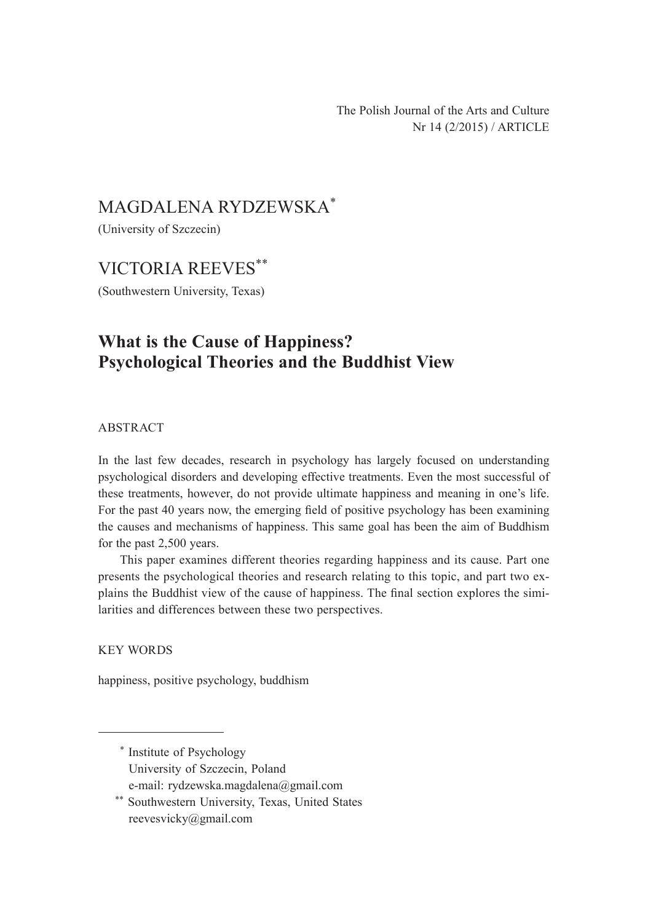The Polish Journal of the Arts and Culture Nr 14 (2/2015) / ARTICLE

# MAGDALENA RYDZEWSKA\*

(University of Szczecin)

## VICTORIA REEVES\*\*

(Southwestern University, Texas)

# **What is the Cause of Happiness? Psychological Theories and the Buddhist View**

ABSTRACT

In the last few decades, research in psychology has largely focused on understanding psychological disorders and developing effective treatments. Even the most successful of these treatments, however, do not provide ultimate happiness and meaning in one's life. For the past 40 years now, the emerging field of positive psychology has been examining the causes and mechanisms of happiness. This same goal has been the aim of Buddhism for the past 2,500 years.

This paper examines different theories regarding happiness and its cause. Part one presents the psychological theories and research relating to this topic, and part two explains the Buddhist view of the cause of happiness. The final section explores the similarities and differences between these two perspectives.

KEY WORDS

happiness, positive psychology, buddhism

<sup>\*</sup> Institute of Psychology University of Szczecin, Poland e-mail: rydzewska.magdalena@gmail.com

<sup>\*\*</sup> Southwestern University, Texas, United States reevesvicky@gmail.com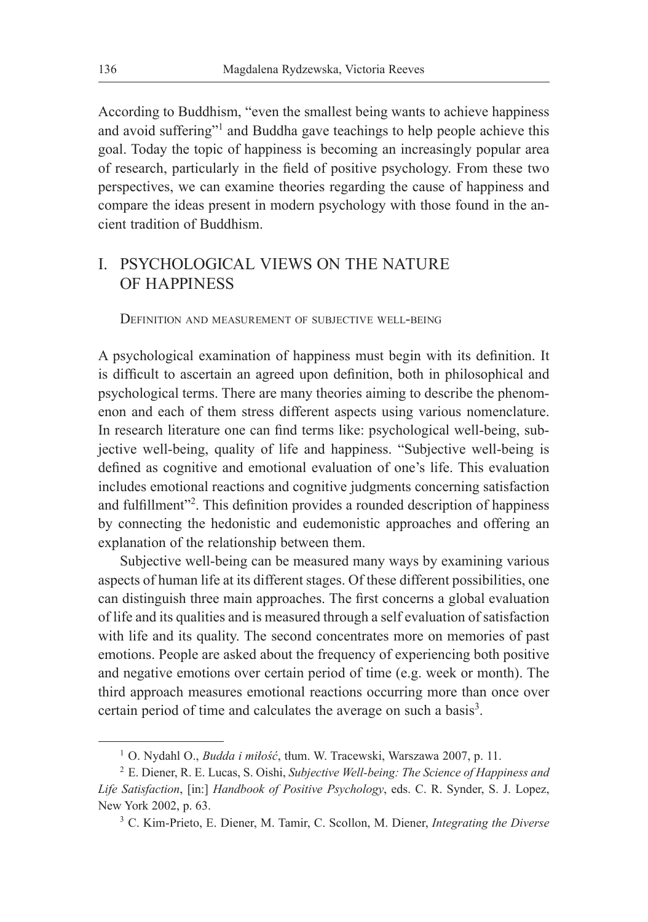According to Buddhism, "even the smallest being wants to achieve happiness and avoid suffering"<sup>1</sup> and Buddha gave teachings to help people achieve this goal. Today the topic of happiness is becoming an increasingly popular area of research, particularly in the field of positive psychology. From these two perspectives, we can examine theories regarding the cause of happiness and compare the ideas present in modern psychology with those found in the ancient tradition of Buddhism.

## I. PSYCHOLOGICAL VIEWS ON THE NATURE OF HAPPINESS

Definition and measurement of subjective well-being

A psychological examination of happiness must begin with its definition. It is difficult to ascertain an agreed upon definition, both in philosophical and psychological terms. There are many theories aiming to describe the phenomenon and each of them stress different aspects using various nomenclature. In research literature one can find terms like: psychological well-being, subjective well-being, quality of life and happiness. "Subjective well-being is defined as cognitive and emotional evaluation of one's life. This evaluation includes emotional reactions and cognitive judgments concerning satisfaction and fulfillment"<sup>2</sup>. This definition provides a rounded description of happiness by connecting the hedonistic and eudemonistic approaches and offering an explanation of the relationship between them.

Subjective well-being can be measured many ways by examining various aspects of human life at its different stages. Of these different possibilities, one can distinguish three main approaches. The first concerns a global evaluation of life and its qualities and is measured through a self evaluation of satisfaction with life and its quality. The second concentrates more on memories of past emotions. People are asked about the frequency of experiencing both positive and negative emotions over certain period of time (e.g. week or month). The third approach measures emotional reactions occurring more than once over certain period of time and calculates the average on such a basis<sup>3</sup>.

<sup>1</sup> O. Nydahl O., *Budda i miłość*, tłum. W. Tracewski, Warszawa 2007, p. 11.

<sup>2</sup> E. Diener, R. E. Lucas, S. Oishi, *Subjective Well-being: The Science of Happiness and Life Satisfaction*, [in:] *Handbook of Positive Psychology*, eds. C. R. Synder, S. J. Lopez, New York 2002, p. 63.

<sup>3</sup> C. Kim-Prieto, E. Diener, M. Tamir, C. Scollon, M. Diener, *Integrating the Diverse*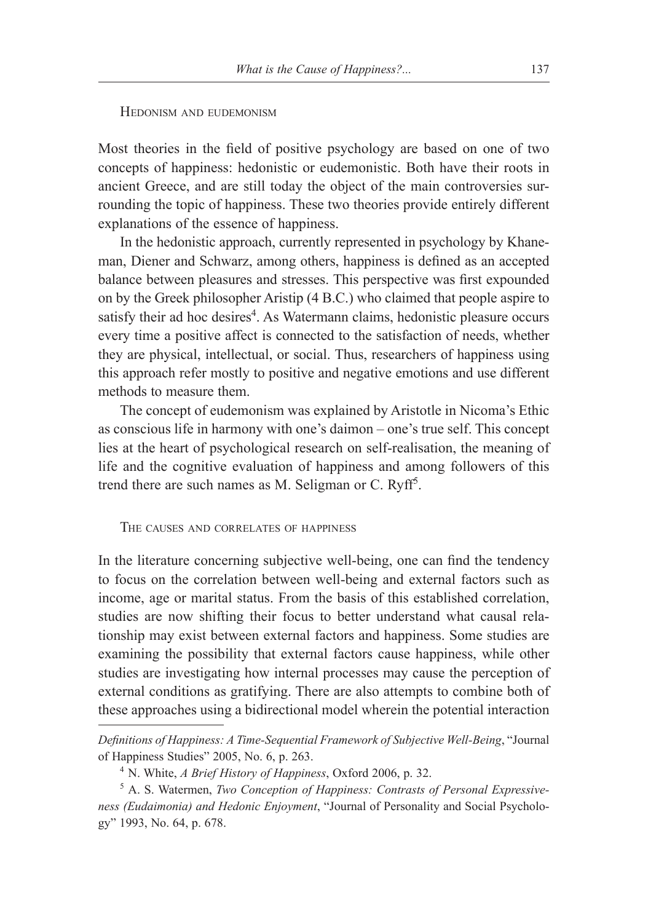### Hedonism and eudemonism

Most theories in the field of positive psychology are based on one of two concepts of happiness: hedonistic or eudemonistic. Both have their roots in ancient Greece, and are still today the object of the main controversies surrounding the topic of happiness. These two theories provide entirely different explanations of the essence of happiness.

In the hedonistic approach, currently represented in psychology by Khaneman, Diener and Schwarz, among others, happiness is defined as an accepted balance between pleasures and stresses. This perspective was first expounded on by the Greek philosopher Aristip (4 B.C.) who claimed that people aspire to satisfy their ad hoc desires<sup>4</sup>. As Watermann claims, hedonistic pleasure occurs every time a positive affect is connected to the satisfaction of needs, whether they are physical, intellectual, or social. Thus, researchers of happiness using this approach refer mostly to positive and negative emotions and use different methods to measure them.

The concept of eudemonism was explained by Aristotle in Nicoma's Ethic as conscious life in harmony with one's daimon – one's true self. This concept lies at the heart of psychological research on self-realisation, the meaning of life and the cognitive evaluation of happiness and among followers of this trend there are such names as M. Seligman or C. Ryff<sup>5</sup>.

The causes and correlates of happiness

In the literature concerning subjective well-being, one can find the tendency to focus on the correlation between well-being and external factors such as income, age or marital status. From the basis of this established correlation, studies are now shifting their focus to better understand what causal relationship may exist between external factors and happiness. Some studies are examining the possibility that external factors cause happiness, while other studies are investigating how internal processes may cause the perception of external conditions as gratifying. There are also attempts to combine both of these approaches using a bidirectional model wherein the potential interaction

*Definitions of Happiness: A Time-Sequential Framework of Subjective Well-Being*, "Journal of Happiness Studies" 2005, No. 6, p. 263.

<sup>4</sup> N. White, *A Brief History of Happiness*, Oxford 2006, p. 32.

<sup>5</sup> A. S. Watermen, *Two Conception of Happiness: Contrasts of Personal Expressiveness (Eudaimonia) and Hedonic Enjoyment*, "Journal of Personality and Social Psychology" 1993, No. 64, p. 678.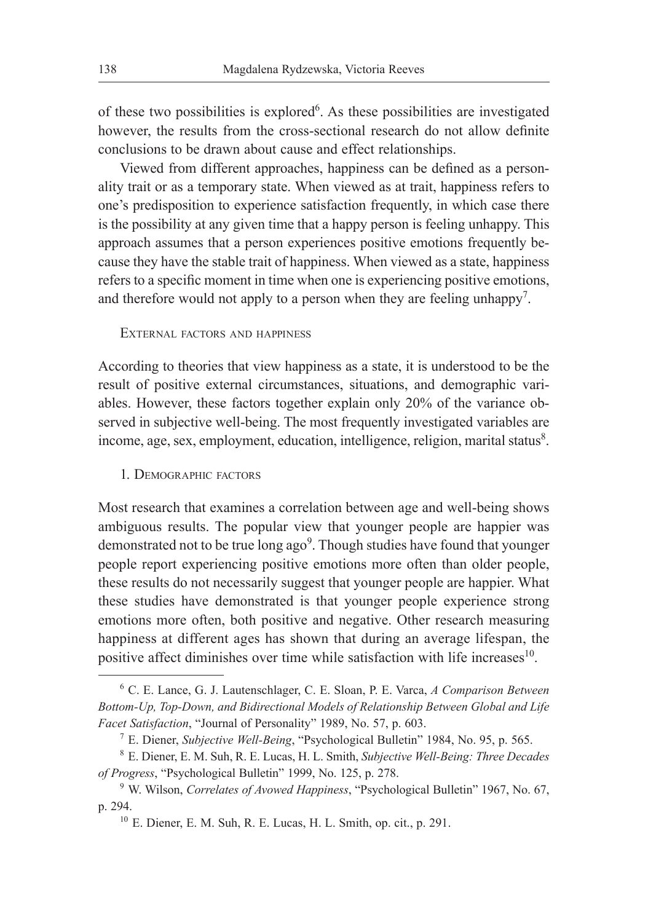of these two possibilities is explored<sup>6</sup>. As these possibilities are investigated however, the results from the cross-sectional research do not allow definite conclusions to be drawn about cause and effect relationships.

Viewed from different approaches, happiness can be defined as a personality trait or as a temporary state. When viewed as at trait, happiness refers to one's predisposition to experience satisfaction frequently, in which case there is the possibility at any given time that a happy person is feeling unhappy. This approach assumes that a person experiences positive emotions frequently because they have the stable trait of happiness. When viewed as a state, happiness refers to a specific moment in time when one is experiencing positive emotions, and therefore would not apply to a person when they are feeling unhappy<sup>7</sup>.

External factors and happiness

According to theories that view happiness as a state, it is understood to be the result of positive external circumstances, situations, and demographic variables. However, these factors together explain only 20% of the variance observed in subjective well-being. The most frequently investigated variables are income, age, sex, employment, education, intelligence, religion, marital status8.

1. Demographic factors

Most research that examines a correlation between age and well-being shows ambiguous results. The popular view that younger people are happier was demonstrated not to be true long ago<sup>9</sup>. Though studies have found that younger people report experiencing positive emotions more often than older people, these results do not necessarily suggest that younger people are happier. What these studies have demonstrated is that younger people experience strong emotions more often, both positive and negative. Other research measuring happiness at different ages has shown that during an average lifespan, the positive affect diminishes over time while satisfaction with life increases $10$ .

<sup>6</sup> C. E. Lance, G. J. Lautenschlager, C. E. Sloan, P. E. Varca, *A Comparison Between Bottom-Up, Top-Down, and Bidirectional Models of Relationship Between Global and Life Facet Satisfaction*, "Journal of Personality" 1989, No. 57, p. 603.

<sup>7</sup> E. Diener, *Subjective Well-Being*, "Psychological Bulletin" 1984, No. 95, p. 565.

<sup>8</sup> E. Diener, E. M. Suh, R. E. Lucas, H. L. Smith, *Subjective Well-Being: Three Decades of Progress*, "Psychological Bulletin" 1999, No. 125, p. 278.

<sup>9</sup> W. Wilson, *Correlates of Avowed Happiness*, "Psychological Bulletin" 1967, No. 67, p. 294.

 $10$  E. Diener, E. M. Suh, R. E. Lucas, H. L. Smith, op. cit., p. 291.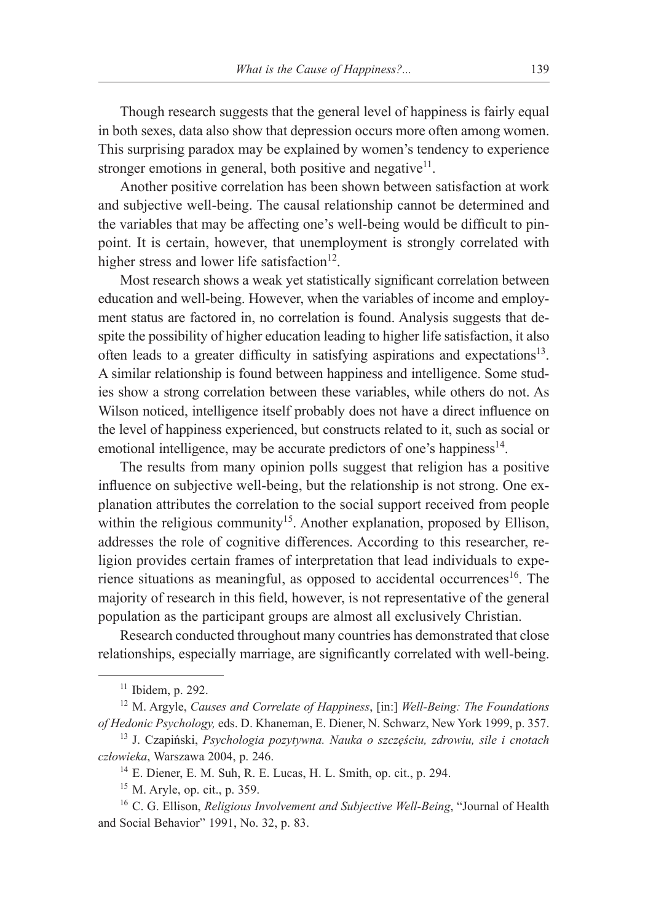Though research suggests that the general level of happiness is fairly equal in both sexes, data also show that depression occurs more often among women. This surprising paradox may be explained by women's tendency to experience stronger emotions in general, both positive and negative $1$ .

Another positive correlation has been shown between satisfaction at work and subjective well-being. The causal relationship cannot be determined and the variables that may be affecting one's well-being would be difficult to pinpoint. It is certain, however, that unemployment is strongly correlated with higher stress and lower life satisfaction $12$ .

Most research shows a weak yet statistically significant correlation between education and well-being. However, when the variables of income and employment status are factored in, no correlation is found. Analysis suggests that despite the possibility of higher education leading to higher life satisfaction, it also often leads to a greater difficulty in satisfying aspirations and expectations<sup>13</sup>. A similar relationship is found between happiness and intelligence. Some studies show a strong correlation between these variables, while others do not. As Wilson noticed, intelligence itself probably does not have a direct influence on the level of happiness experienced, but constructs related to it, such as social or emotional intelligence, may be accurate predictors of one's happiness $14$ .

The results from many opinion polls suggest that religion has a positive influence on subjective well-being, but the relationship is not strong. One explanation attributes the correlation to the social support received from people within the religious community<sup>15</sup>. Another explanation, proposed by Ellison, addresses the role of cognitive differences. According to this researcher, religion provides certain frames of interpretation that lead individuals to experience situations as meaningful, as opposed to accidental occurrences<sup>16</sup>. The majority of research in this field, however, is not representative of the general population as the participant groups are almost all exclusively Christian.

Research conducted throughout many countries has demonstrated that close relationships, especially marriage, are significantly correlated with well-being.

 $11$  Ibidem, p. 292.

<sup>12</sup> M. Argyle, *Causes and Correlate of Happiness*, [in:] *Well-Being: The Foundations of Hedonic Psychology,* eds. D. Khaneman, E. Diener, N. Schwarz, New York 1999, p. 357.

<sup>13</sup> J. Czapiński, *Psychologia pozytywna. Nauka o szczęściu, zdrowiu, sile i cnotach człowieka*, Warszawa 2004, p. 246.

<sup>14</sup> E. Diener, E. M. Suh, R. E. Lucas, H. L. Smith, op. cit., p. 294.

<sup>15</sup> M. Aryle, op. cit., p. 359.

<sup>16</sup> C. G. Ellison, *Religious Involvement and Subjective Well-Being*, "Journal of Health and Social Behavior" 1991, No. 32, p. 83.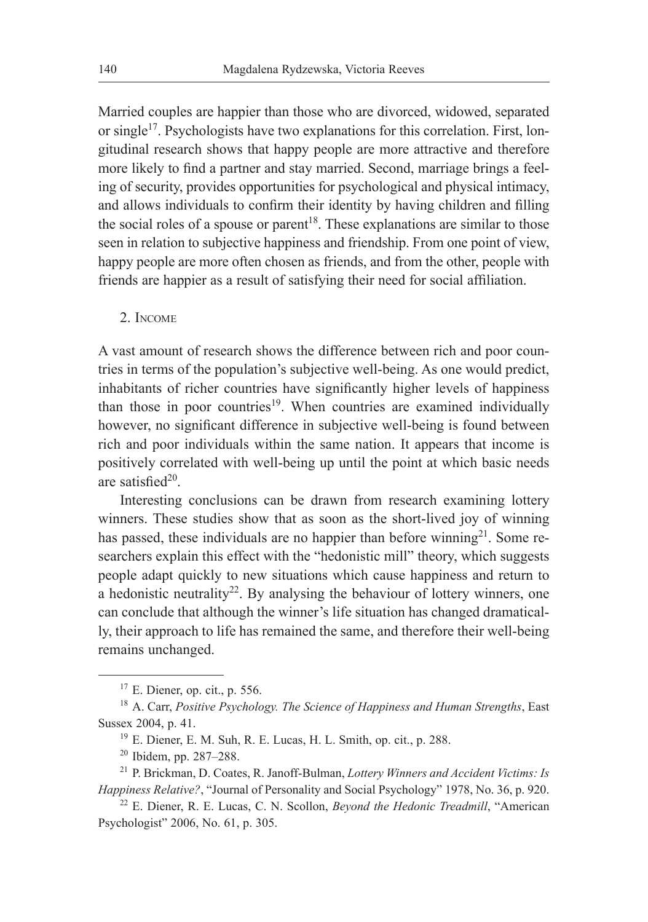Married couples are happier than those who are divorced, widowed, separated or single<sup>17</sup>. Psychologists have two explanations for this correlation. First, longitudinal research shows that happy people are more attractive and therefore more likely to find a partner and stay married. Second, marriage brings a feeling of security, provides opportunities for psychological and physical intimacy, and allows individuals to confirm their identity by having children and filling the social roles of a spouse or parent<sup>18</sup>. These explanations are similar to those seen in relation to subjective happiness and friendship. From one point of view, happy people are more often chosen as friends, and from the other, people with friends are happier as a result of satisfying their need for social affiliation.

2. Income

A vast amount of research shows the difference between rich and poor countries in terms of the population's subjective well-being. As one would predict, inhabitants of richer countries have significantly higher levels of happiness than those in poor countries<sup>19</sup>. When countries are examined individually however, no significant difference in subjective well-being is found between rich and poor individuals within the same nation. It appears that income is positively correlated with well-being up until the point at which basic needs are satisfied $20$ .

Interesting conclusions can be drawn from research examining lottery winners. These studies show that as soon as the short-lived joy of winning has passed, these individuals are no happier than before winning<sup>21</sup>. Some researchers explain this effect with the "hedonistic mill" theory, which suggests people adapt quickly to new situations which cause happiness and return to a hedonistic neutrality<sup>22</sup>. By analysing the behaviour of lottery winners, one can conclude that although the winner's life situation has changed dramatically, their approach to life has remained the same, and therefore their well-being remains unchanged.

 $17$  E. Diener, op. cit., p. 556.

<sup>18</sup> A. Carr, *Positive Psychology. The Science of Happiness and Human Strengths*, East Sussex 2004, p. 41.

 $19$  E. Diener, E. M. Suh, R. E. Lucas, H. L. Smith, op. cit., p. 288.

<sup>20</sup> Ibidem, pp. 287–288.

<sup>21</sup> P. Brickman, D. Coates, R. Janoff-Bulman, *Lottery Winners and Accident Victims: Is Happiness Relative?*, "Journal of Personality and Social Psychology" 1978, No. 36, p. 920.

<sup>22</sup> E. Diener, R. E. Lucas, C. N. Scollon, *Beyond the Hedonic Treadmill*, "American Psychologist" 2006, No. 61, p. 305.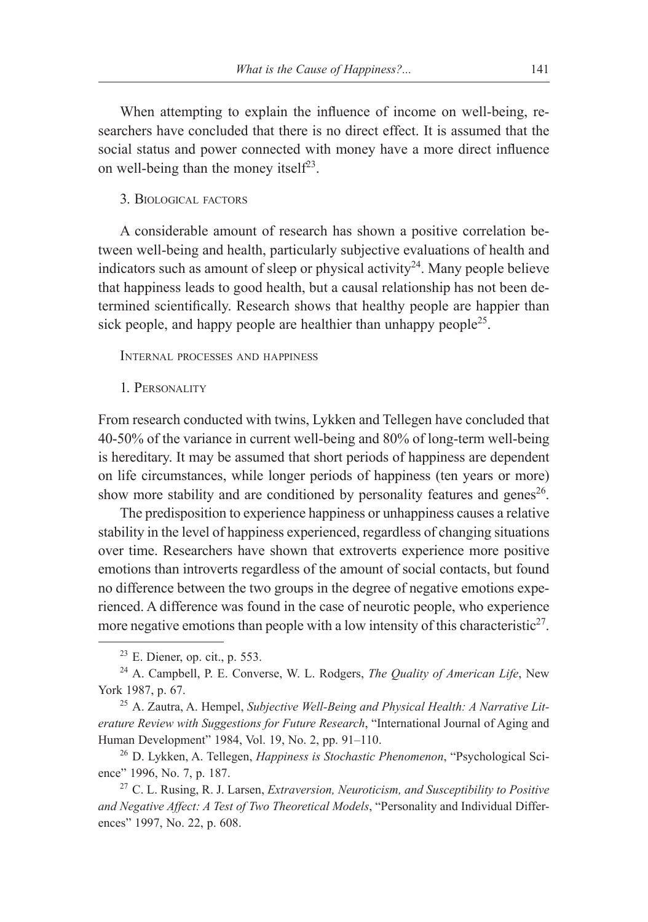When attempting to explain the influence of income on well-being, researchers have concluded that there is no direct effect. It is assumed that the social status and power connected with money have a more direct influence on well-being than the money itself<sup>23</sup>.

#### 3. Biological factors

A considerable amount of research has shown a positive correlation between well-being and health, particularly subjective evaluations of health and indicators such as amount of sleep or physical activity<sup>24</sup>. Many people believe that happiness leads to good health, but a causal relationship has not been determined scientifically. Research shows that healthy people are happier than sick people, and happy people are healthier than unhappy people<sup>25</sup>.

Internal processes and happiness

1. Personality

From research conducted with twins, Lykken and Tellegen have concluded that 40-50% of the variance in current well-being and 80% of long-term well-being is hereditary. It may be assumed that short periods of happiness are dependent on life circumstances, while longer periods of happiness (ten years or more) show more stability and are conditioned by personality features and genes<sup>26</sup>.

The predisposition to experience happiness or unhappiness causes a relative stability in the level of happiness experienced, regardless of changing situations over time. Researchers have shown that extroverts experience more positive emotions than introverts regardless of the amount of social contacts, but found no difference between the two groups in the degree of negative emotions experienced. A difference was found in the case of neurotic people, who experience more negative emotions than people with a low intensity of this characteristic<sup>27</sup>.

 $23$  E. Diener, op. cit., p. 553.

<sup>24</sup> A. Campbell, P. E. Converse, W. L. Rodgers, *The Quality of American Life*, New York 1987, p. 67.

<sup>25</sup> A. Zautra, A. Hempel, *Subjective Well-Being and Physical Health: A Narrative Literature Review with Suggestions for Future Research*, "International Journal of Aging and Human Development" 1984, Vol. 19, No. 2, pp. 91–110.

<sup>26</sup> D. Lykken, A. Tellegen, *Happiness is Stochastic Phenomenon*, "Psychological Science" 1996, No. 7, p. 187.

<sup>27</sup> C. L. Rusing, R. J. Larsen, *Extraversion, Neuroticism, and Susceptibility to Positive and Negative Affect: A Test of Two Theoretical Models*, "Personality and Individual Differences" 1997, No. 22, p. 608.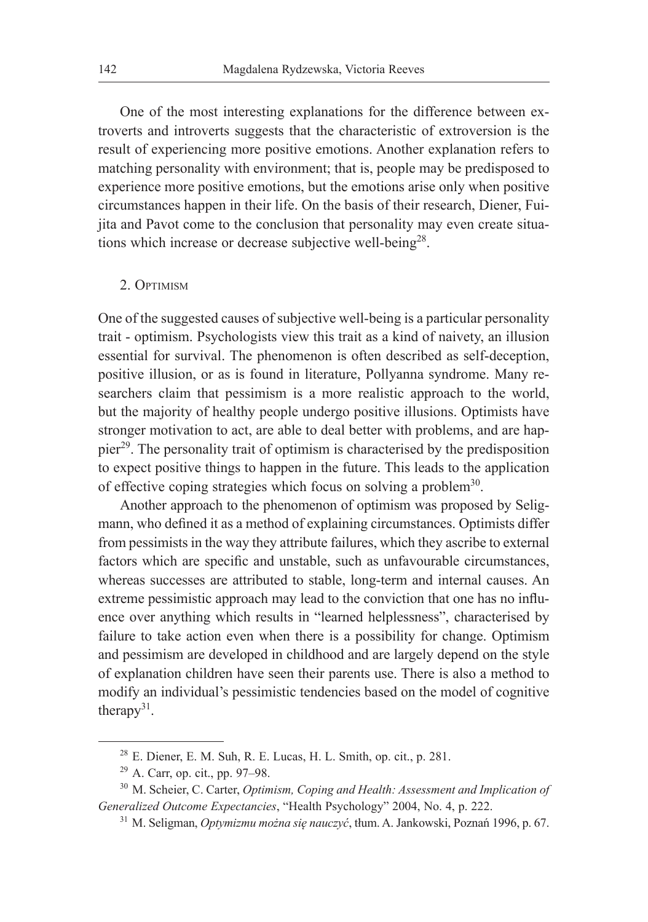One of the most interesting explanations for the difference between extroverts and introverts suggests that the characteristic of extroversion is the result of experiencing more positive emotions. Another explanation refers to matching personality with environment; that is, people may be predisposed to experience more positive emotions, but the emotions arise only when positive circumstances happen in their life. On the basis of their research, Diener, Fuijita and Pavot come to the conclusion that personality may even create situations which increase or decrease subjective well-being<sup>28</sup>.

#### 2. Optimism

One of the suggested causes of subjective well-being is a particular personality trait - optimism. Psychologists view this trait as a kind of naivety, an illusion essential for survival. The phenomenon is often described as self-deception, positive illusion, or as is found in literature, Pollyanna syndrome. Many researchers claim that pessimism is a more realistic approach to the world, but the majority of healthy people undergo positive illusions. Optimists have stronger motivation to act, are able to deal better with problems, and are happier29. The personality trait of optimism is characterised by the predisposition to expect positive things to happen in the future. This leads to the application of effective coping strategies which focus on solving a problem<sup>30</sup>.

Another approach to the phenomenon of optimism was proposed by Seligmann, who defined it as a method of explaining circumstances. Optimists differ from pessimists in the way they attribute failures, which they ascribe to external factors which are specific and unstable, such as unfavourable circumstances, whereas successes are attributed to stable, long-term and internal causes. An extreme pessimistic approach may lead to the conviction that one has no influence over anything which results in "learned helplessness", characterised by failure to take action even when there is a possibility for change. Optimism and pessimism are developed in childhood and are largely depend on the style of explanation children have seen their parents use. There is also a method to modify an individual's pessimistic tendencies based on the model of cognitive therapy $31$ .

 $28$  E. Diener, E. M. Suh, R. E. Lucas, H. L. Smith, op. cit., p. 281.

<sup>29</sup> A. Carr, op. cit., pp. 97–98.

<sup>30</sup> M. Scheier, C. Carter, *Optimism, Coping and Health: Assessment and Implication of Generalized Outcome Expectancies*, "Health Psychology" 2004, No. 4, p. 222.

<sup>31</sup> M. Seligman, *Optymizmu można się nauczyć*, tłum. A. Jankowski, Poznań 1996, p. 67.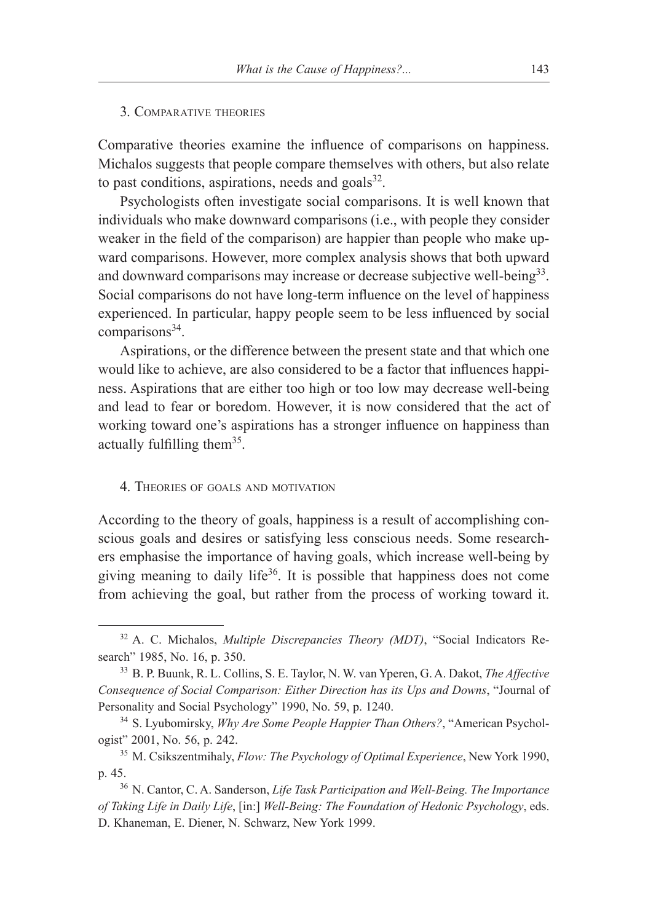#### 3. Comparative theories

Comparative theories examine the influence of comparisons on happiness. Michalos suggests that people compare themselves with others, but also relate to past conditions, aspirations, needs and goals $^{32}$ .

Psychologists often investigate social comparisons. It is well known that individuals who make downward comparisons (i.e., with people they consider weaker in the field of the comparison) are happier than people who make upward comparisons. However, more complex analysis shows that both upward and downward comparisons may increase or decrease subjective well-being<sup>33</sup>. Social comparisons do not have long-term influence on the level of happiness experienced. In particular, happy people seem to be less influenced by social comparisons<sup>34</sup>.

Aspirations, or the difference between the present state and that which one would like to achieve, are also considered to be a factor that influences happiness. Aspirations that are either too high or too low may decrease well-being and lead to fear or boredom. However, it is now considered that the act of working toward one's aspirations has a stronger influence on happiness than actually fulfilling them<sup>35</sup>.

#### 4. Theories of goals and motivation

According to the theory of goals, happiness is a result of accomplishing conscious goals and desires or satisfying less conscious needs. Some researchers emphasise the importance of having goals, which increase well-being by giving meaning to daily life $36$ . It is possible that happiness does not come from achieving the goal, but rather from the process of working toward it.

<sup>32</sup> A. C. Michalos, *Multiple Discrepancies Theory (MDT)*, "Social Indicators Research" 1985, No. 16, p. 350.

<sup>33</sup> B. P. Buunk, R. L. Collins, S. E. Taylor, N. W. van Yperen, G. A. Dakot, *The Affective Consequence of Social Comparison: Either Direction has its Ups and Downs*, "Journal of Personality and Social Psychology" 1990, No. 59, p. 1240.

<sup>34</sup> S. Lyubomirsky, *Why Are Some People Happier Than Others?*, "American Psychologist" 2001, No. 56, p. 242.

<sup>35</sup> M. Csikszentmihaly, *Flow: The Psychology of Optimal Experience*, New York 1990, p. 45.<br><sup>36</sup> N. Cantor, C. A. Sanderson, *Life Task Participation and Well-Being. The Importance* 

*of Taking Life in Daily Life*, [in:] *Well-Being: The Foundation of Hedonic Psychology*, eds. D. Khaneman, E. Diener, N. Schwarz, New York 1999.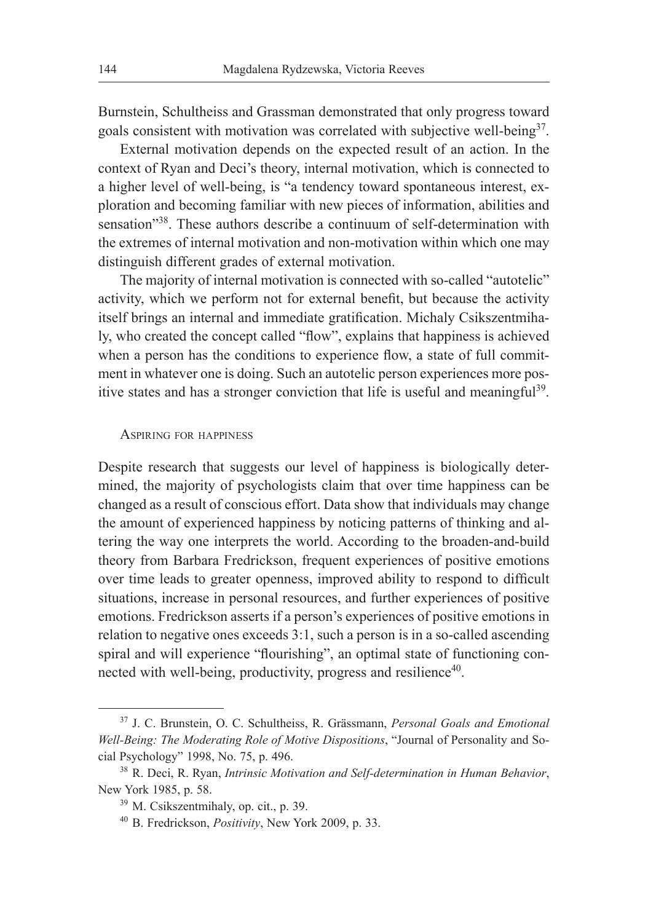Burnstein, Schultheiss and Grassman demonstrated that only progress toward goals consistent with motivation was correlated with subjective well-being<sup>37</sup>.

External motivation depends on the expected result of an action. In the context of Ryan and Deci's theory, internal motivation, which is connected to a higher level of well-being, is "a tendency toward spontaneous interest, exploration and becoming familiar with new pieces of information, abilities and sensation"<sup>38</sup>. These authors describe a continuum of self-determination with the extremes of internal motivation and non-motivation within which one may distinguish different grades of external motivation.

The majority of internal motivation is connected with so-called "autotelic" activity, which we perform not for external benefit, but because the activity itself brings an internal and immediate gratification. Michaly Csikszentmihaly, who created the concept called "flow", explains that happiness is achieved when a person has the conditions to experience flow, a state of full commitment in whatever one is doing. Such an autotelic person experiences more positive states and has a stronger conviction that life is useful and meaningful<sup>39</sup>.

#### Aspiring for happiness

Despite research that suggests our level of happiness is biologically determined, the majority of psychologists claim that over time happiness can be changed as a result of conscious effort. Data show that individuals may change the amount of experienced happiness by noticing patterns of thinking and altering the way one interprets the world. According to the broaden-and-build theory from Barbara Fredrickson, frequent experiences of positive emotions over time leads to greater openness, improved ability to respond to difficult situations, increase in personal resources, and further experiences of positive emotions. Fredrickson asserts if a person's experiences of positive emotions in relation to negative ones exceeds 3:1, such a person is in a so-called ascending spiral and will experience "flourishing", an optimal state of functioning connected with well-being, productivity, progress and resilience<sup>40</sup>.

<sup>37</sup> J. C. Brunstein, O. C. Schultheiss, R. Grässmann, *Personal Goals and Emotional Well-Being: The Moderating Role of Motive Dispositions*, "Journal of Personality and Social Psychology" 1998, No. 75, p. 496.

<sup>38</sup> R. Deci, R. Ryan, *Intrinsic Motivation and Self-determination in Human Behavior*, New York 1985, p. 58. <sup>39</sup> M. Csikszentmihaly, op. cit., p. 39.

<sup>40</sup> B. Fredrickson, *Positivity*, New York 2009, p. 33.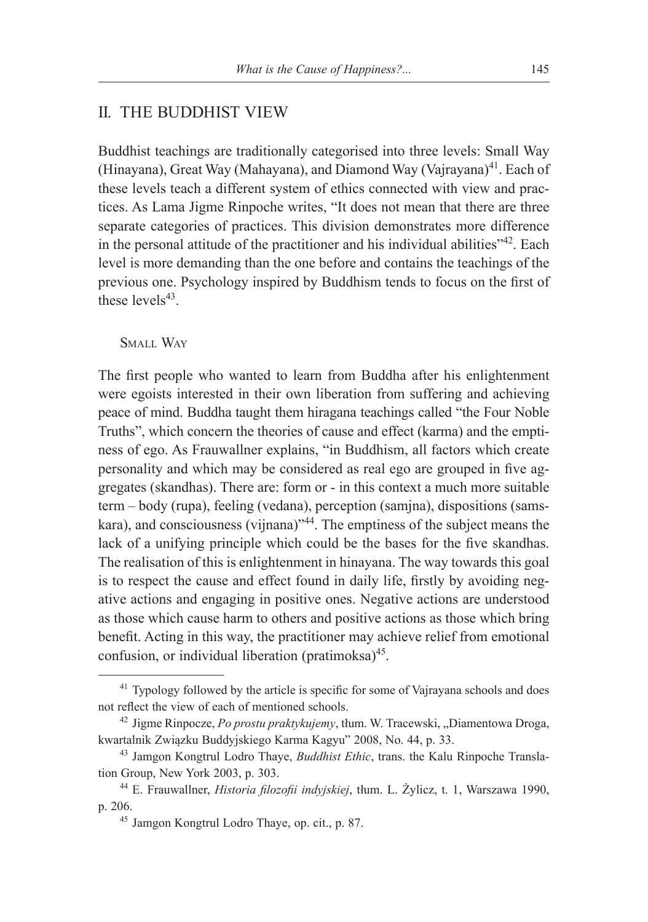## II. THE BUDDHIST VIEW

Buddhist teachings are traditionally categorised into three levels: Small Way (Hinayana), Great Way (Mahayana), and Diamond Way (Vajrayana)<sup>41</sup>. Each of these levels teach a different system of ethics connected with view and practices. As Lama Jigme Rinpoche writes, "It does not mean that there are three separate categories of practices. This division demonstrates more difference in the personal attitude of the practitioner and his individual abilities"<sup>42</sup>. Each level is more demanding than the one before and contains the teachings of the previous one. Psychology inspired by Buddhism tends to focus on the first of these levels $43$ .

SMALL WAY

The first people who wanted to learn from Buddha after his enlightenment were egoists interested in their own liberation from suffering and achieving peace of mind. Buddha taught them hiragana teachings called "the Four Noble Truths", which concern the theories of cause and effect (karma) and the emptiness of ego. As Frauwallner explains, "in Buddhism, all factors which create personality and which may be considered as real ego are grouped in five aggregates (skandhas). There are: form or - in this context a much more suitable term – body (rupa), feeling (vedana), perception (samjna), dispositions (samskara), and consciousness (vijnana)"<sup>44</sup>. The emptiness of the subject means the lack of a unifying principle which could be the bases for the five skandhas. The realisation of this is enlightenment in hinayana. The way towards this goal is to respect the cause and effect found in daily life, firstly by avoiding negative actions and engaging in positive ones. Negative actions are understood as those which cause harm to others and positive actions as those which bring benefit. Acting in this way, the practitioner may achieve relief from emotional confusion, or individual liberation (pratimoksa) $45$ .

 $41$  Typology followed by the article is specific for some of Vajrayana schools and does not reflect the view of each of mentioned schools.

<sup>&</sup>lt;sup>42</sup> Jigme Rinpocze, *Po prostu praktykujemy*, tłum. W. Tracewski, "Diamentowa Droga, kwartalnik Związku Buddyjskiego Karma Kagyu" 2008, No. 44, p. 33.

<sup>43</sup> Jamgon Kongtrul Lodro Thaye, *Buddhist Ethic*, trans. the Kalu Rinpoche Translation Group, New York 2003, p. 303.

<sup>44</sup> E. Frauwallner, *Historia filozofii indyjskiej*, tłum. L. Żylicz, t. 1, Warszawa 1990, p. 206.

<sup>45</sup> Jamgon Kongtrul Lodro Thaye, op. cit., p. 87.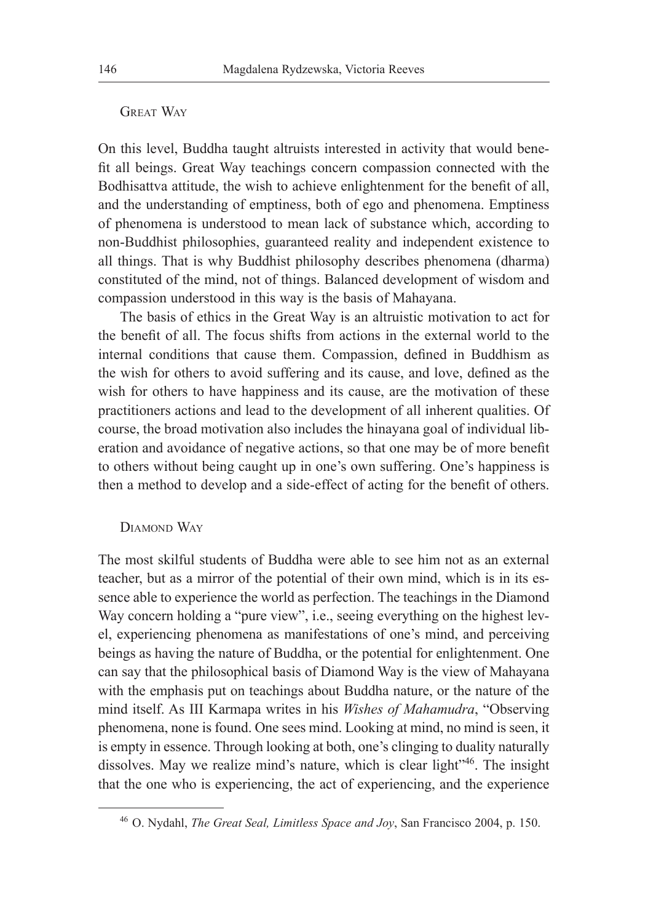#### GREAT WAY

On this level, Buddha taught altruists interested in activity that would benefit all beings. Great Way teachings concern compassion connected with the Bodhisattva attitude, the wish to achieve enlightenment for the benefit of all, and the understanding of emptiness, both of ego and phenomena. Emptiness of phenomena is understood to mean lack of substance which, according to non-Buddhist philosophies, guaranteed reality and independent existence to all things. That is why Buddhist philosophy describes phenomena (dharma) constituted of the mind, not of things. Balanced development of wisdom and compassion understood in this way is the basis of Mahayana.

The basis of ethics in the Great Way is an altruistic motivation to act for the benefit of all. The focus shifts from actions in the external world to the internal conditions that cause them. Compassion, defined in Buddhism as the wish for others to avoid suffering and its cause, and love, defined as the wish for others to have happiness and its cause, are the motivation of these practitioners actions and lead to the development of all inherent qualities. Of course, the broad motivation also includes the hinayana goal of individual liberation and avoidance of negative actions, so that one may be of more benefit to others without being caught up in one's own suffering. One's happiness is then a method to develop and a side-effect of acting for the benefit of others.

#### DIAMOND WAY

The most skilful students of Buddha were able to see him not as an external teacher, but as a mirror of the potential of their own mind, which is in its essence able to experience the world as perfection. The teachings in the Diamond Way concern holding a "pure view", i.e., seeing everything on the highest level, experiencing phenomena as manifestations of one's mind, and perceiving beings as having the nature of Buddha, or the potential for enlightenment. One can say that the philosophical basis of Diamond Way is the view of Mahayana with the emphasis put on teachings about Buddha nature, or the nature of the mind itself. As III Karmapa writes in his *Wishes of Mahamudra*, "Observing phenomena, none is found. One sees mind. Looking at mind, no mind is seen, it is empty in essence. Through looking at both, one's clinging to duality naturally dissolves. May we realize mind's nature, which is clear light"<sup>46</sup>. The insight that the one who is experiencing, the act of experiencing, and the experience

<sup>46</sup> O. Nydahl, *The Great Seal, Limitless Space and Joy*, San Francisco 2004, p. 150.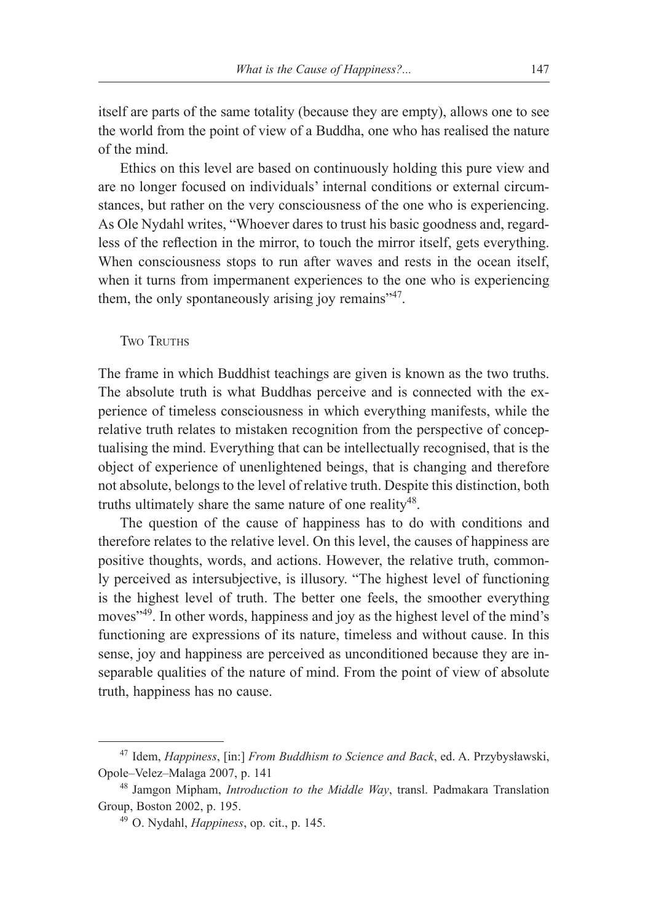itself are parts of the same totality (because they are empty), allows one to see the world from the point of view of a Buddha, one who has realised the nature of the mind.

Ethics on this level are based on continuously holding this pure view and are no longer focused on individuals' internal conditions or external circumstances, but rather on the very consciousness of the one who is experiencing. As Ole Nydahl writes, "Whoever dares to trust his basic goodness and, regardless of the reflection in the mirror, to touch the mirror itself, gets everything. When consciousness stops to run after waves and rests in the ocean itself, when it turns from impermanent experiences to the one who is experiencing them, the only spontaneously arising joy remains"<sup>47</sup>.

**TWO TRUTHS** 

The frame in which Buddhist teachings are given is known as the two truths. The absolute truth is what Buddhas perceive and is connected with the experience of timeless consciousness in which everything manifests, while the relative truth relates to mistaken recognition from the perspective of conceptualising the mind. Everything that can be intellectually recognised, that is the object of experience of unenlightened beings, that is changing and therefore not absolute, belongs to the level of relative truth. Despite this distinction, both truths ultimately share the same nature of one reality<sup>48</sup>.

The question of the cause of happiness has to do with conditions and therefore relates to the relative level. On this level, the causes of happiness are positive thoughts, words, and actions. However, the relative truth, commonly perceived as intersubjective, is illusory. "The highest level of functioning is the highest level of truth. The better one feels, the smoother everything moves<sup>149</sup>. In other words, happiness and joy as the highest level of the mind's functioning are expressions of its nature, timeless and without cause. In this sense, joy and happiness are perceived as unconditioned because they are inseparable qualities of the nature of mind. From the point of view of absolute truth, happiness has no cause.

<sup>47</sup> Idem, *Happiness*, [in:] *From Buddhism to Science and Back*, ed. A. Przybysławski, Opole–Velez–Malaga 2007, p. 141

<sup>48</sup> Jamgon Mipham, *Introduction to the Middle Way*, transl. Padmakara Translation Group, Boston 2002, p. 195.

<sup>49</sup> O. Nydahl, *Happiness*, op. cit., p. 145.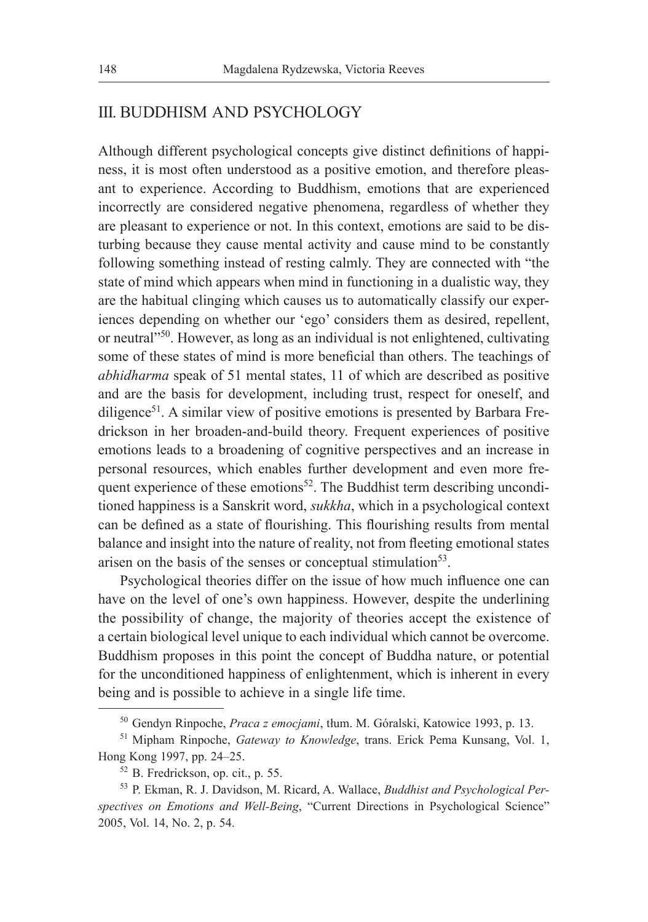## III. BUDDHISM AND PSYCHOLOGY

Although different psychological concepts give distinct definitions of happiness, it is most often understood as a positive emotion, and therefore pleasant to experience. According to Buddhism, emotions that are experienced incorrectly are considered negative phenomena, regardless of whether they are pleasant to experience or not. In this context, emotions are said to be disturbing because they cause mental activity and cause mind to be constantly following something instead of resting calmly. They are connected with "the state of mind which appears when mind in functioning in a dualistic way, they are the habitual clinging which causes us to automatically classify our experiences depending on whether our 'ego' considers them as desired, repellent, or neutral"50. However, as long as an individual is not enlightened, cultivating some of these states of mind is more beneficial than others. The teachings of *abhidharma* speak of 51 mental states, 11 of which are described as positive and are the basis for development, including trust, respect for oneself, and diligence<sup>51</sup>. A similar view of positive emotions is presented by Barbara Fredrickson in her broaden-and-build theory. Frequent experiences of positive emotions leads to a broadening of cognitive perspectives and an increase in personal resources, which enables further development and even more frequent experience of these emotions<sup>52</sup>. The Buddhist term describing unconditioned happiness is a Sanskrit word, *sukkha*, which in a psychological context can be defined as a state of flourishing. This flourishing results from mental balance and insight into the nature of reality, not from fleeting emotional states arisen on the basis of the senses or conceptual stimulation<sup>53</sup>.

Psychological theories differ on the issue of how much influence one can have on the level of one's own happiness. However, despite the underlining the possibility of change, the majority of theories accept the existence of a certain biological level unique to each individual which cannot be overcome. Buddhism proposes in this point the concept of Buddha nature, or potential for the unconditioned happiness of enlightenment, which is inherent in every being and is possible to achieve in a single life time.

<sup>50</sup> Gendyn Rinpoche, *Praca z emocjami*, tłum. M. Góralski, Katowice 1993, p. 13.

<sup>51</sup> Mipham Rinpoche, *Gateway to Knowledge*, trans. Erick Pema Kunsang, Vol. 1, Hong Kong 1997, pp. 24–25.

<sup>52</sup> B. Fredrickson, op. cit., p. 55.

<sup>53</sup> P. Ekman, R. J. Davidson, M. Ricard, A. Wallace, *Buddhist and Psychological Perspectives on Emotions and Well-Being*, "Current Directions in Psychological Science" 2005, Vol. 14, No. 2, p. 54.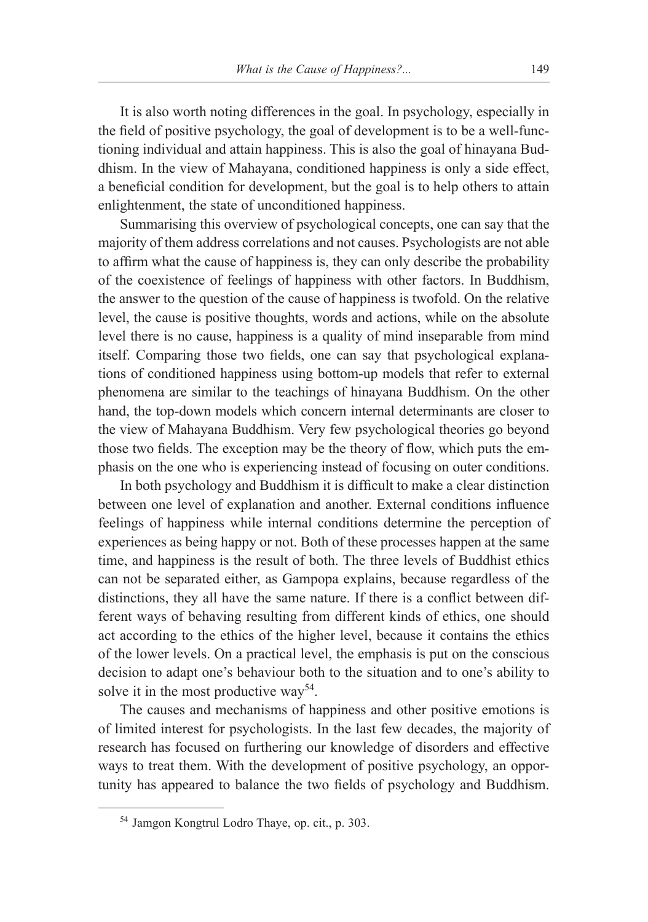It is also worth noting differences in the goal. In psychology, especially in the field of positive psychology, the goal of development is to be a well-functioning individual and attain happiness. This is also the goal of hinayana Buddhism. In the view of Mahayana, conditioned happiness is only a side effect, a beneficial condition for development, but the goal is to help others to attain enlightenment, the state of unconditioned happiness.

Summarising this overview of psychological concepts, one can say that the majority of them address correlations and not causes. Psychologists are not able to affirm what the cause of happiness is, they can only describe the probability of the coexistence of feelings of happiness with other factors. In Buddhism, the answer to the question of the cause of happiness is twofold. On the relative level, the cause is positive thoughts, words and actions, while on the absolute level there is no cause, happiness is a quality of mind inseparable from mind itself. Comparing those two fields, one can say that psychological explanations of conditioned happiness using bottom-up models that refer to external phenomena are similar to the teachings of hinayana Buddhism. On the other hand, the top-down models which concern internal determinants are closer to the view of Mahayana Buddhism. Very few psychological theories go beyond those two fields. The exception may be the theory of flow, which puts the emphasis on the one who is experiencing instead of focusing on outer conditions.

In both psychology and Buddhism it is difficult to make a clear distinction between one level of explanation and another. External conditions influence feelings of happiness while internal conditions determine the perception of experiences as being happy or not. Both of these processes happen at the same time, and happiness is the result of both. The three levels of Buddhist ethics can not be separated either, as Gampopa explains, because regardless of the distinctions, they all have the same nature. If there is a conflict between different ways of behaving resulting from different kinds of ethics, one should act according to the ethics of the higher level, because it contains the ethics of the lower levels. On a practical level, the emphasis is put on the conscious decision to adapt one's behaviour both to the situation and to one's ability to solve it in the most productive way<sup>54</sup>.

The causes and mechanisms of happiness and other positive emotions is of limited interest for psychologists. In the last few decades, the majority of research has focused on furthering our knowledge of disorders and effective ways to treat them. With the development of positive psychology, an opportunity has appeared to balance the two fields of psychology and Buddhism.

<sup>54</sup> Jamgon Kongtrul Lodro Thaye, op. cit., p. 303.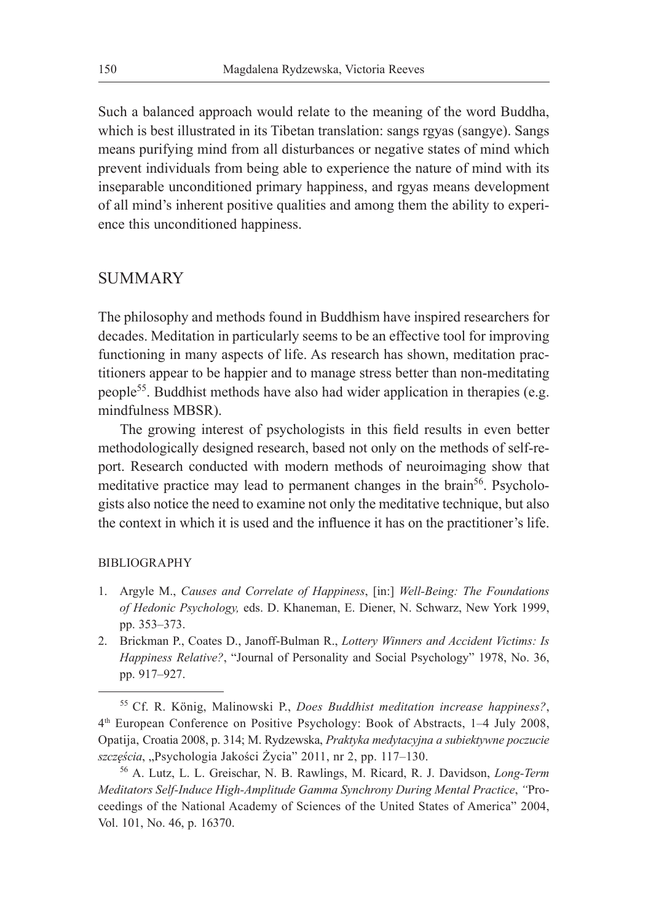Such a balanced approach would relate to the meaning of the word Buddha, which is best illustrated in its Tibetan translation: sangs rgyas (sangye). Sangs means purifying mind from all disturbances or negative states of mind which prevent individuals from being able to experience the nature of mind with its inseparable unconditioned primary happiness, and rgyas means development of all mind's inherent positive qualities and among them the ability to experience this unconditioned happiness.

## **SUMMARY**

The philosophy and methods found in Buddhism have inspired researchers for decades. Meditation in particularly seems to be an effective tool for improving functioning in many aspects of life. As research has shown, meditation practitioners appear to be happier and to manage stress better than non-meditating people55. Buddhist methods have also had wider application in therapies (e.g. mindfulness MBSR).

The growing interest of psychologists in this field results in even better methodologically designed research, based not only on the methods of self-report. Research conducted with modern methods of neuroimaging show that meditative practice may lead to permanent changes in the brain<sup>56</sup>. Psychologists also notice the need to examine not only the meditative technique, but also the context in which it is used and the influence it has on the practitioner's life.

#### BIBLIOGRAPHY

- 1. Argyle M., *Causes and Correlate of Happiness*, [in:] *Well-Being: The Foundations of Hedonic Psychology,* eds. D. Khaneman, E. Diener, N. Schwarz, New York 1999, pp. 353–373.
- 2. Brickman P., Coates D., Janoff-Bulman R., *Lottery Winners and Accident Victims: Is Happiness Relative?*, "Journal of Personality and Social Psychology" 1978, No. 36, pp. 917–927.

<sup>55</sup> Cf. R. König, Malinowski P., *Does Buddhist meditation increase happiness?*, 4th European Conference on Positive Psychology: Book of Abstracts, 1–4 July 2008, Opatija, Croatia 2008, p. 314; M. Rydzewska, *Praktyka medytacyjna a subiektywne poczucie*  szczęścia, "Psychologia Jakości Życia" 2011, nr 2, pp. 117–130.

<sup>56</sup> A. Lutz, L. L. Greischar, N. B. Rawlings, M. Ricard, R. J. Davidson, *Long-Term Meditators Self-Induce High-Amplitude Gamma Synchrony During Mental Practice*, *"*Proceedings of the National Academy of Sciences of the United States of America" 2004, Vol. 101, No. 46, p. 16370.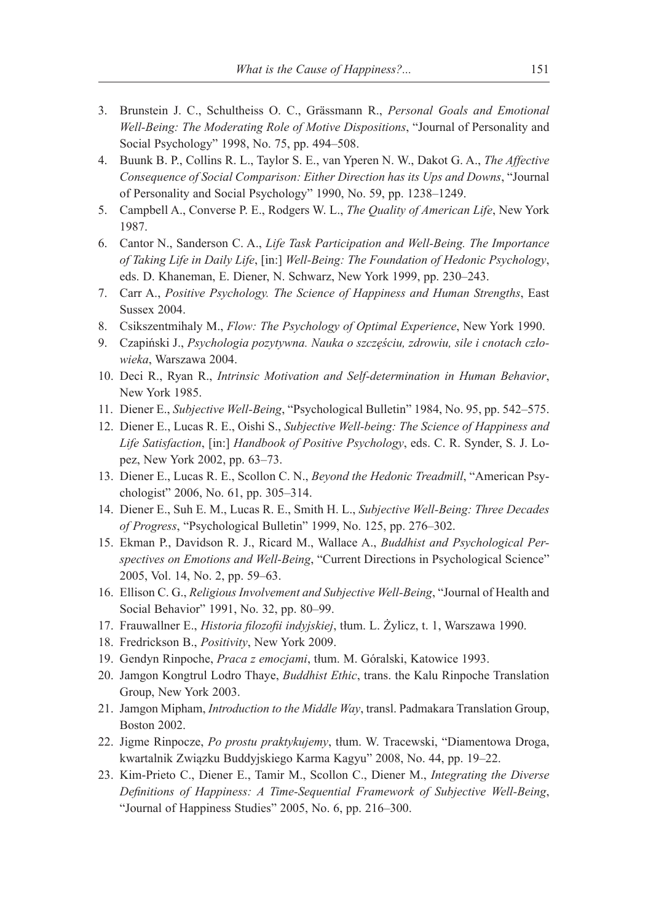- 3. Brunstein J. C., Schultheiss O. C., Grässmann R., *Personal Goals and Emotional Well-Being: The Moderating Role of Motive Dispositions*, "Journal of Personality and Social Psychology" 1998, No. 75, pp. 494–508.
- 4. Buunk B. P., Collins R. L., Taylor S. E., van Yperen N. W., Dakot G. A., *The Affective Consequence of Social Comparison: Either Direction has its Ups and Downs*, "Journal of Personality and Social Psychology" 1990, No. 59, pp. 1238–1249.
- 5. Campbell A., Converse P. E., Rodgers W. L., *The Quality of American Life*, New York 1987.
- 6. Cantor N., Sanderson C. A., *Life Task Participation and Well-Being. The Importance of Taking Life in Daily Life*, [in:] *Well-Being: The Foundation of Hedonic Psychology*, eds. D. Khaneman, E. Diener, N. Schwarz, New York 1999, pp. 230–243.
- 7. Carr A., *Positive Psychology. The Science of Happiness and Human Strengths*, East Sussex 2004.
- 8. Csikszentmihaly M., *Flow: The Psychology of Optimal Experience*, New York 1990.
- 9. Czapiński J., *Psychologia pozytywna. Nauka o szczęściu, zdrowiu, sile i cnotach człowieka*, Warszawa 2004.
- 10. Deci R., Ryan R., *Intrinsic Motivation and Self-determination in Human Behavior*, New York 1985.
- 11. Diener E., *Subjective Well-Being*, "Psychological Bulletin" 1984, No. 95, pp. 542–575.
- 12. Diener E., Lucas R. E., Oishi S., *Subjective Well-being: The Science of Happiness and Life Satisfaction*, [in:] *Handbook of Positive Psychology*, eds. C. R. Synder, S. J. Lopez, New York 2002, pp. 63–73.
- 13. Diener E., Lucas R. E., Scollon C. N., *Beyond the Hedonic Treadmill*, "American Psychologist" 2006, No. 61, pp. 305–314.
- 14. Diener E., Suh E. M., Lucas R. E., Smith H. L., *Subjective Well-Being: Three Decades of Progress*, "Psychological Bulletin" 1999, No. 125, pp. 276–302.
- 15. Ekman P., Davidson R. J., Ricard M., Wallace A., *Buddhist and Psychological Perspectives on Emotions and Well-Being*, "Current Directions in Psychological Science" 2005, Vol. 14, No. 2, pp. 59–63.
- 16. Ellison C. G., *Religious Involvement and Subjective Well-Being*, "Journal of Health and Social Behavior" 1991, No. 32, pp. 80–99.
- 17. Frauwallner E., *Historia filozofii indyjskiej*, tłum. L. Żylicz, t. 1, Warszawa 1990.
- 18. Fredrickson B., *Positivity*, New York 2009.
- 19. Gendyn Rinpoche, *Praca z emocjami*, tłum. M. Góralski, Katowice 1993.
- 20. Jamgon Kongtrul Lodro Thaye, *Buddhist Ethic*, trans. the Kalu Rinpoche Translation Group, New York 2003.
- 21. Jamgon Mipham, *Introduction to the Middle Way*, transl. Padmakara Translation Group, Boston 2002.
- 22. Jigme Rinpocze, *Po prostu praktykujemy*, tłum. W. Tracewski, "Diamentowa Droga, kwartalnik Związku Buddyjskiego Karma Kagyu" 2008, No. 44, pp. 19–22.
- 23. Kim-Prieto C., Diener E., Tamir M., Scollon C., Diener M., *Integrating the Diverse Definitions of Happiness: A Time-Sequential Framework of Subjective Well-Being*, "Journal of Happiness Studies" 2005, No. 6, pp. 216–300.